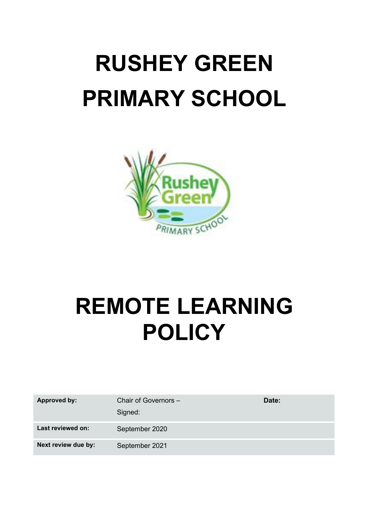# **RUSHEY GREEN PRIMARY SCHOOL**



# **REMOTE LEARNING POLICY**

| <b>Approved by:</b> | Chair of Governors -<br>Signed: | Date: |
|---------------------|---------------------------------|-------|
| Last reviewed on:   | September 2020                  |       |
| Next review due by: | September 2021                  |       |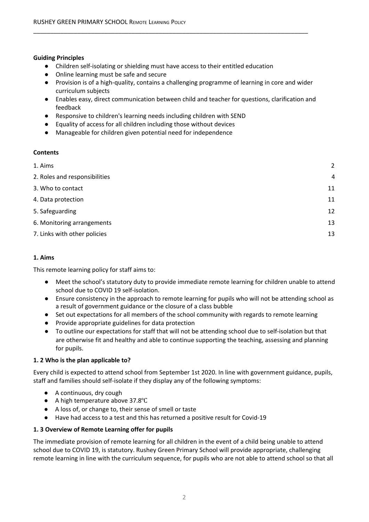#### **Guiding Principles**

● Children self-isolating or shielding must have access to their entitled education

\_\_\_\_\_\_\_\_\_\_\_\_\_\_\_\_\_\_\_\_\_\_\_\_\_\_\_\_\_\_\_\_\_\_\_\_\_\_\_\_\_\_\_\_\_\_\_\_\_\_\_\_\_\_\_\_\_\_\_\_\_\_\_\_\_\_\_\_\_\_\_\_\_\_\_\_\_\_\_\_\_

- Online learning must be safe and secure
- Provision is of a high-quality, contains a challenging programme of learning in core and wider curriculum subjects
- Enables easy, direct communication between child and teacher for questions, clarification and feedback
- Responsive to children's learning needs including children with SEND
- Equality of access for all children including those without devices
- Manageable for children given potential need for independence

#### **Contents**

| 1. Aims                       | $\overline{2}$ |
|-------------------------------|----------------|
| 2. Roles and responsibilities | $\overline{4}$ |
| 3. Who to contact             | 11             |
| 4. Data protection            | 11             |
| 5. Safeguarding               | 12             |
| 6. Monitoring arrangements    | 13             |
| 7. Links with other policies  | 13             |
|                               |                |

#### <span id="page-1-0"></span>**1. Aims**

This remote learning policy for staff aims to:

- Meet the school's statutory duty to provide immediate remote learning for children unable to attend school due to COVID 19 self-isolation.
- Ensure consistency in the approach to remote learning for pupils who will not be attending school as a result of government guidance or the closure of a class bubble
- Set out expectations for all members of the school community with regards to remote learning
- Provide appropriate guidelines for data protection
- To outline our expectations for staff that will not be attending school due to self-isolation but that are otherwise fit and healthy and able to continue supporting the teaching, assessing and planning for pupils.

#### **1. 2 Who is the plan applicable to?**

Every child is expected to attend school from September 1st 2020. In line with government guidance, pupils, staff and families should self-isolate if they display any of the following symptoms:

- A continuous, dry cough
- A high temperature above 37.8°C
- A loss of, or change to, their sense of smell or taste
- Have had access to a test and this has returned a positive result for Covid-19

#### **1. 3 Overview of Remote Learning offer for pupils**

The immediate provision of remote learning for all children in the event of a child being unable to attend school due to COVID 19, is statutory. Rushey Green Primary School will provide appropriate, challenging remote learning in line with the curriculum sequence, for pupils who are not able to attend school so that all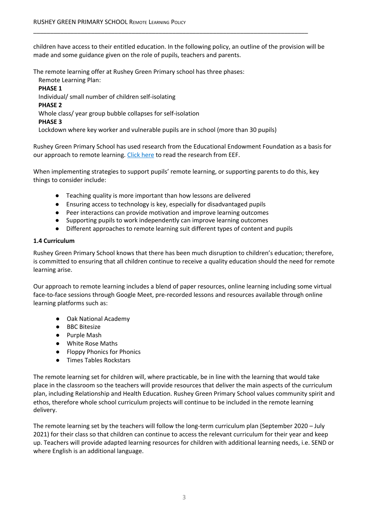children have access to their entitled education. In the following policy, an outline of the provision will be made and some guidance given on the role of pupils, teachers and parents.

\_\_\_\_\_\_\_\_\_\_\_\_\_\_\_\_\_\_\_\_\_\_\_\_\_\_\_\_\_\_\_\_\_\_\_\_\_\_\_\_\_\_\_\_\_\_\_\_\_\_\_\_\_\_\_\_\_\_\_\_\_\_\_\_\_\_\_\_\_\_\_\_\_\_\_\_\_\_\_\_\_

The remote learning offer at Rushey Green Primary school has three phases:

Remote Learning Plan: **PHASE 1** Individual/ small number of children self-isolating **PHASE 2** Whole class/ year group bubble collapses for self-isolation **PHASE 3** Lockdown where key worker and vulnerable pupils are in school (more than 30 pupils)

Rushey Green Primary School has used research from the Educational Endowment Foundation as a basis for our approach to remote learning. Click [here](https://educationendowmentfoundation.org.uk/covid-19-resources/best-evidence-on-supporting-students-to-learn-remotely/#nav-best-evidence-on-supporting-students-to-learn-remotely) to read the research from EEF.

When implementing strategies to support pupils' remote learning, or supporting parents to do this, key things to consider include:

- Teaching quality is more important than how lessons are delivered
- Ensuring access to technology is key, especially for disadvantaged pupils
- Peer interactions can provide motivation and improve learning outcomes
- Supporting pupils to work independently can improve learning outcomes
- Different approaches to remote learning suit different types of content and pupils

#### **1.4 Curriculum**

Rushey Green Primary School knows that there has been much disruption to children's education; therefore, is committed to ensuring that all children continue to receive a quality education should the need for remote learning arise.

Our approach to remote learning includes a blend of paper resources, online learning including some virtual face-to-face sessions through Google Meet, pre-recorded lessons and resources available through online learning platforms such as:

- Oak National Academy
- BBC Bitesize
- Purple Mash
- White Rose Maths
- Floppy Phonics for Phonics
- **Times Tables Rockstars**

The remote learning set for children will, where practicable, be in line with the learning that would take place in the classroom so the teachers will provide resources that deliver the main aspects of the curriculum plan, including Relationship and Health Education. Rushey Green Primary School values community spirit and ethos, therefore whole school curriculum projects will continue to be included in the remote learning delivery.

The remote learning set by the teachers will follow the long-term curriculum plan (September 2020 – July 2021) for their class so that children can continue to access the relevant curriculum for their year and keep up. Teachers will provide adapted learning resources for children with additional learning needs, i.e. SEND or where English is an additional language.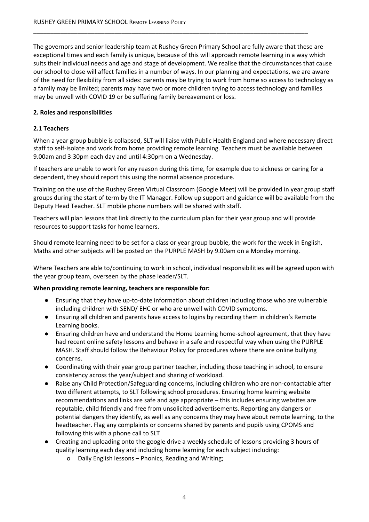The governors and senior leadership team at Rushey Green Primary School are fully aware that these are exceptional times and each family is unique, because of this will approach remote learning in a way which suits their individual needs and age and stage of development. We realise that the circumstances that cause our school to close will affect families in a number of ways. In our planning and expectations, we are aware of the need for flexibility from all sides: parents may be trying to work from home so access to technology as a family may be limited; parents may have two or more children trying to access technology and families may be unwell with COVID 19 or be suffering family bereavement or loss.

\_\_\_\_\_\_\_\_\_\_\_\_\_\_\_\_\_\_\_\_\_\_\_\_\_\_\_\_\_\_\_\_\_\_\_\_\_\_\_\_\_\_\_\_\_\_\_\_\_\_\_\_\_\_\_\_\_\_\_\_\_\_\_\_\_\_\_\_\_\_\_\_\_\_\_\_\_\_\_\_\_

#### <span id="page-3-0"></span>**2. Roles and responsibilities**

#### **2.1 Teachers**

When a year group bubble is collapsed, SLT will liaise with Public Health England and where necessary direct staff to self-isolate and work from home providing remote learning. Teachers must be available between 9.00am and 3:30pm each day and until 4:30pm on a Wednesday.

If teachers are unable to work for any reason during this time, for example due to sickness or caring for a dependent, they should report this using the normal absence procedure.

Training on the use of the Rushey Green Virtual Classroom (Google Meet) will be provided in year group staff groups during the start of term by the IT Manager. Follow up support and guidance will be available from the Deputy Head Teacher. SLT mobile phone numbers will be shared with staff.

Teachers will plan lessons that link directly to the curriculum plan for their year group and will provide resources to support tasks for home learners.

Should remote learning need to be set for a class or year group bubble, the work for the week in English, Maths and other subjects will be posted on the PURPLE MASH by 9.00am on a Monday morning.

Where Teachers are able to/continuing to work in school, individual responsibilities will be agreed upon with the year group team, overseen by the phase leader/SLT.

#### **When providing remote learning, teachers are responsible for:**

- Ensuring that they have up-to-date information about children including those who are vulnerable including children with SEND/ EHC or who are unwell with COVID symptoms.
- Ensuring all children and parents have access to logins by recording them in children's Remote Learning books.
- Ensuring children have and understand the Home Learning home-school agreement, that they have had recent online safety lessons and behave in a safe and respectful way when using the PURPLE MASH. Staff should follow the Behaviour Policy for procedures where there are online bullying concerns.
- Coordinating with their year group partner teacher, including those teaching in school, to ensure consistency across the year/subject and sharing of workload.
- Raise any Child Protection/Safeguarding concerns, including children who are non-contactable after two different attempts, to SLT following school procedures. Ensuring home learning website recommendations and links are safe and age appropriate – this includes ensuring websites are reputable, child friendly and free from unsolicited advertisements. Reporting any dangers or potential dangers they identify, as well as any concerns they may have about remote learning, to the headteacher. Flag any complaints or concerns shared by parents and pupils using CPOMS and following this with a phone call to SLT
- Creating and uploading onto the google drive a weekly schedule of lessons providing 3 hours of quality learning each day and including home learning for each subject including:
	- o Daily English lessons Phonics, Reading and Writing;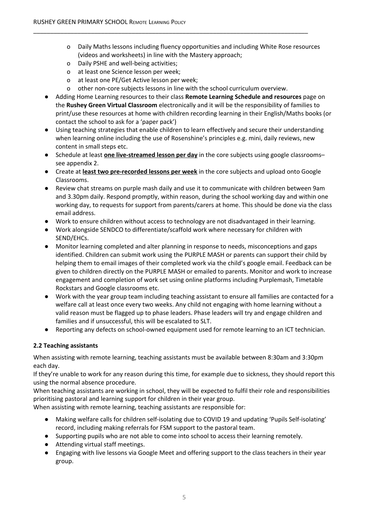- o Daily Maths lessons including fluency opportunities and including White Rose resources (videos and worksheets) in line with the Mastery approach;
- o Daily PSHE and well-being activities;
- o at least one Science lesson per week;
- o at least one PE/Get Active lesson per week;
- o other non-core subjects lessons in line with the school curriculum overview.

\_\_\_\_\_\_\_\_\_\_\_\_\_\_\_\_\_\_\_\_\_\_\_\_\_\_\_\_\_\_\_\_\_\_\_\_\_\_\_\_\_\_\_\_\_\_\_\_\_\_\_\_\_\_\_\_\_\_\_\_\_\_\_\_\_\_\_\_\_\_\_\_\_\_\_\_\_\_\_\_\_

- Adding Home Learning resources to their class **Remote Learning Schedule and resources** page on the **Rushey Green Virtual Classroom** electronically and it will be the responsibility of families to print/use these resources at home with children recording learning in their English/Maths books (or contact the school to ask for a 'paper pack')
- Using teaching strategies that enable children to learn effectively and secure their understanding when learning online including the use of Rosenshine's principles e.g. mini, daily reviews, new content in small steps etc.
- Schedule at least **one live-streamed lesson per day** in the core subjects using google classrooms– see appendix 2.
- Create at **least two pre-recorded lessons per week** in the core subjects and upload onto Google Classrooms.
- Review chat streams on purple mash daily and use it to communicate with children between 9am and 3.30pm daily. Respond promptly, within reason, during the school working day and within one working day, to requests for support from parents/carers at home. This should be done via the class email address.
- Work to ensure children without access to technology are not disadvantaged in their learning.
- Work alongside SENDCO to differentiate/scaffold work where necessary for children with SEND/EHCs.
- Monitor learning completed and alter planning in response to needs, misconceptions and gaps identified. Children can submit work using the PURPLE MASH or parents can support their child by helping them to email images of their completed work via the child's google email. Feedback can be given to children directly on the PURPLE MASH or emailed to parents. Monitor and work to increase engagement and completion of work set using online platforms including Purplemash, Timetable Rockstars and Google classrooms etc.
- Work with the year group team including teaching assistant to ensure all families are contacted for a welfare call at least once every two weeks. Any child not engaging with home learning without a valid reason must be flagged up to phase leaders. Phase leaders will try and engage children and families and if unsuccessful, this will be escalated to SLT.
- Reporting any defects on school-owned equipment used for remote learning to an ICT technician.

#### **2.2 Teaching assistants**

When assisting with remote learning, teaching assistants must be available between 8:30am and 3:30pm each day.

If they're unable to work for any reason during this time, for example due to sickness, they should report this using the normal absence procedure.

When teaching assistants are working in school, they will be expected to fulfil their role and responsibilities prioritising pastoral and learning support for children in their year group.

When assisting with remote learning, teaching assistants are responsible for:

- Making welfare calls for children self-isolating due to COVID 19 and updating 'Pupils Self-isolating' record, including making referrals for FSM support to the pastoral team.
- Supporting pupils who are not able to come into school to access their learning remotely.
- Attending virtual staff meetings.
- Engaging with live lessons via Google Meet and offering support to the class teachers in their year group.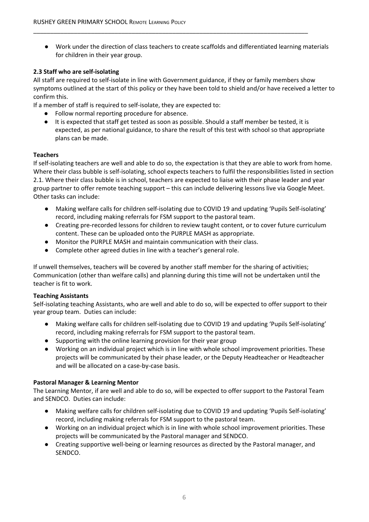● Work under the direction of class teachers to create scaffolds and differentiated learning materials for children in their year group.

\_\_\_\_\_\_\_\_\_\_\_\_\_\_\_\_\_\_\_\_\_\_\_\_\_\_\_\_\_\_\_\_\_\_\_\_\_\_\_\_\_\_\_\_\_\_\_\_\_\_\_\_\_\_\_\_\_\_\_\_\_\_\_\_\_\_\_\_\_\_\_\_\_\_\_\_\_\_\_\_\_

#### **2.3 Staff who are self-isolating**

All staff are required to self-isolate in line with Government guidance, if they or family members show symptoms outlined at the start of this policy or they have been told to shield and/or have received a letter to confirm this.

If a member of staff is required to self-isolate, they are expected to:

- Follow normal reporting procedure for absence.
- It is expected that staff get tested as soon as possible. Should a staff member be tested, it is expected, as per national guidance, to share the result of this test with school so that appropriate plans can be made.

#### **Teachers**

If self-isolating teachers are well and able to do so, the expectation is that they are able to work from home. Where their class bubble is self-isolating, school expects teachers to fulfil the responsibilities listed in section 2.1. Where their class bubble is in school, teachers are expected to liaise with their phase leader and year group partner to offer remote teaching support – this can include delivering lessons live via Google Meet. Other tasks can include:

- Making welfare calls for children self-isolating due to COVID 19 and updating 'Pupils Self-isolating' record, including making referrals for FSM support to the pastoral team.
- Creating pre-recorded lessons for children to review taught content, or to cover future curriculum content. These can be uploaded onto the PURPLE MASH as appropriate.
- Monitor the PURPLE MASH and maintain communication with their class.
- Complete other agreed duties in line with a teacher's general role.

If unwell themselves, teachers will be covered by another staff member for the sharing of activities; Communication (other than welfare calls) and planning during this time will not be undertaken until the teacher is fit to work.

#### **Teaching Assistants**

Self-isolating teaching Assistants, who are well and able to do so, will be expected to offer support to their year group team. Duties can include:

- Making welfare calls for children self-isolating due to COVID 19 and updating 'Pupils Self-isolating' record, including making referrals for FSM support to the pastoral team.
- Supporting with the online learning provision for their year group
- Working on an individual project which is in line with whole school improvement priorities. These projects will be communicated by their phase leader, or the Deputy Headteacher or Headteacher and will be allocated on a case-by-case basis.

#### **Pastoral Manager & Learning Mentor**

The Learning Mentor, if are well and able to do so, will be expected to offer support to the Pastoral Team and SENDCO. Duties can include:

- Making welfare calls for children self-isolating due to COVID 19 and updating 'Pupils Self-isolating' record, including making referrals for FSM support to the pastoral team.
- Working on an individual project which is in line with whole school improvement priorities. These projects will be communicated by the Pastoral manager and SENDCO.
- Creating supportive well-being or learning resources as directed by the Pastoral manager, and SENDCO.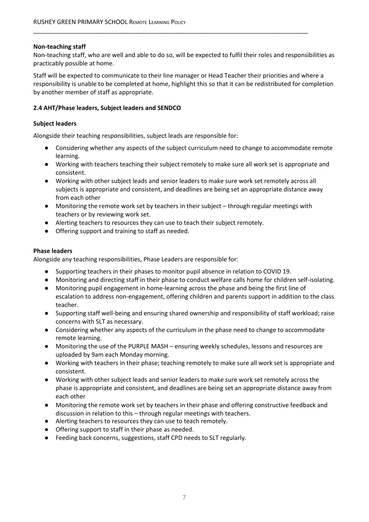#### **Non-teaching staff**

Non-teaching staff, who are well and able to do so, will be expected to fulfil their roles and responsibilities as practicably possible at home.

\_\_\_\_\_\_\_\_\_\_\_\_\_\_\_\_\_\_\_\_\_\_\_\_\_\_\_\_\_\_\_\_\_\_\_\_\_\_\_\_\_\_\_\_\_\_\_\_\_\_\_\_\_\_\_\_\_\_\_\_\_\_\_\_\_\_\_\_\_\_\_\_\_\_\_\_\_\_\_\_\_

Staff will be expected to communicate to their line manager or Head Teacher their priorities and where a responsibility is unable to be completed at home, highlight this so that it can be redistributed for completion by another member of staff as appropriate.

#### **2.4 AHT/Phase leaders, Subject leaders and SENDCO**

#### **Subject leaders**

Alongside their teaching responsibilities, subject leads are responsible for:

- Considering whether any aspects of the subject curriculum need to change to accommodate remote learning.
- Working with teachers teaching their subject remotely to make sure all work set is appropriate and consistent.
- Working with other subject leads and senior leaders to make sure work set remotely across all subjects is appropriate and consistent, and deadlines are being set an appropriate distance away from each other
- Monitoring the remote work set by teachers in their subject through regular meetings with teachers or by reviewing work set.
- Alerting teachers to resources they can use to teach their subject remotely.
- Offering support and training to staff as needed.

#### **Phase leaders**

Alongside any teaching responsibilities, Phase Leaders are responsible for:

- Supporting teachers in their phases to monitor pupil absence in relation to COVID 19.
- Monitoring and directing staff in their phase to conduct welfare calls home for children self-isolating.
- Monitoring pupil engagement in home-learning across the phase and being the first line of escalation to address non-engagement, offering children and parents support in addition to the class teacher.
- Supporting staff well-being and ensuring shared ownership and responsibility of staff workload; raise concerns with SLT as necessary.
- Considering whether any aspects of the curriculum in the phase need to change to accommodate remote learning.
- Monitoring the use of the PURPLE MASH ensuring weekly schedules, lessons and resources are uploaded by 9am each Monday morning.
- Working with teachers in their phase; teaching remotely to make sure all work set is appropriate and consistent.
- Working with other subject leads and senior leaders to make sure work set remotely across the phase is appropriate and consistent, and deadlines are being set an appropriate distance away from each other
- Monitoring the remote work set by teachers in their phase and offering constructive feedback and discussion in relation to this – through regular meetings with teachers.
- Alerting teachers to resources they can use to teach remotely.
- Offering support to staff in their phase as needed.
- Feeding back concerns, suggestions, staff CPD needs to SLT regularly.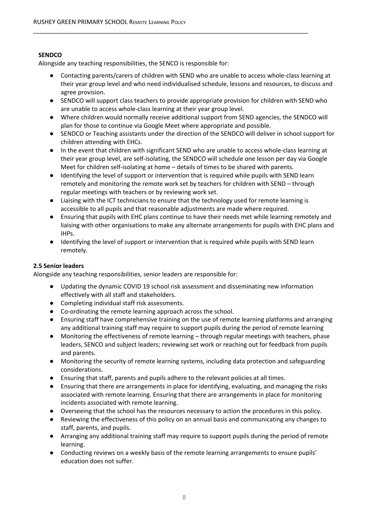#### **SENDCO**

Alongside any teaching responsibilities, the SENCO is responsible for:

● Contacting parents/carers of children with SEND who are unable to access whole-class learning at their year group level and who need individualised schedule, lessons and resources, to discuss and agree provision.

\_\_\_\_\_\_\_\_\_\_\_\_\_\_\_\_\_\_\_\_\_\_\_\_\_\_\_\_\_\_\_\_\_\_\_\_\_\_\_\_\_\_\_\_\_\_\_\_\_\_\_\_\_\_\_\_\_\_\_\_\_\_\_\_\_\_\_\_\_\_\_\_\_\_\_\_\_\_\_\_\_

- SENDCO will support class teachers to provide appropriate provision for children with SEND who are unable to access whole-class learning at their year group level.
- Where children would normally receive additional support from SEND agencies, the SENDCO will plan for those to continue via Google Meet where appropriate and possible.
- SENDCO or Teaching assistants under the direction of the SENDCO will deliver in school support for children attending with EHCs.
- In the event that children with significant SEND who are unable to access whole-class learning at their year group level, are self-isolating, the SENDCO will schedule one lesson per day via Google Meet for children self-isolating at home – details of times to be shared with parents.
- Identifying the level of support or intervention that is required while pupils with SEND learn remotely and monitoring the remote work set by teachers for children with SEND – through regular meetings with teachers or by reviewing work set.
- Liaising with the ICT technicians to ensure that the technology used for remote learning is accessible to all pupils and that reasonable adjustments are made where required.
- Ensuring that pupils with EHC plans continue to have their needs met while learning remotely and liaising with other organisations to make any alternate arrangements for pupils with EHC plans and IHPs.
- Identifying the level of support or intervention that is required while pupils with SEND learn remotely.

#### **2.5 Senior leaders**

Alongside any teaching responsibilities, senior leaders are responsible for:

- Updating the dynamic COVID 19 school risk assessment and disseminating new information effectively with all staff and stakeholders.
- Completing individual staff risk assessments.
- Co-ordinating the remote learning approach across the school.
- Ensuring staff have comprehensive training on the use of remote learning platforms and arranging any additional training staff may require to support pupils during the period of remote learning
- Monitoring the effectiveness of remote learning through regular meetings with teachers, phase leaders, SENCO and subject leaders; reviewing set work or reaching out for feedback from pupils and parents.
- Monitoring the security of remote learning systems, including data protection and safeguarding considerations.
- Ensuring that staff, parents and pupils adhere to the relevant policies at all times.
- Ensuring that there are arrangements in place for identifying, evaluating, and managing the risks associated with remote learning. Ensuring that there are arrangements in place for monitoring incidents associated with remote learning.
- Overseeing that the school has the resources necessary to action the procedures in this policy.
- Reviewing the effectiveness of this policy on an annual basis and communicating any changes to staff, parents, and pupils.
- Arranging any additional training staff may require to support pupils during the period of remote learning.
- Conducting reviews on a weekly basis of the remote learning arrangements to ensure pupils' education does not suffer.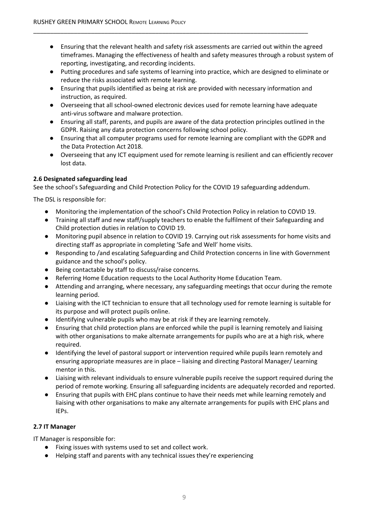- Ensuring that the relevant health and safety risk assessments are carried out within the agreed timeframes. Managing the effectiveness of health and safety measures through a robust system of reporting, investigating, and recording incidents.
- Putting procedures and safe systems of learning into practice, which are designed to eliminate or reduce the risks associated with remote learning.
- Ensuring that pupils identified as being at risk are provided with necessary information and instruction, as required.

\_\_\_\_\_\_\_\_\_\_\_\_\_\_\_\_\_\_\_\_\_\_\_\_\_\_\_\_\_\_\_\_\_\_\_\_\_\_\_\_\_\_\_\_\_\_\_\_\_\_\_\_\_\_\_\_\_\_\_\_\_\_\_\_\_\_\_\_\_\_\_\_\_\_\_\_\_\_\_\_\_

- Overseeing that all school-owned electronic devices used for remote learning have adequate anti-virus software and malware protection.
- Ensuring all staff, parents, and pupils are aware of the data protection principles outlined in the GDPR. Raising any data protection concerns following school policy.
- Ensuring that all computer programs used for remote learning are compliant with the GDPR and the Data Protection Act 2018.
- Overseeing that any ICT equipment used for remote learning is resilient and can efficiently recover lost data.

#### **2.6 Designated safeguarding lead**

See the school's Safeguarding and Child Protection Policy for the COVID 19 safeguarding addendum.

The DSL is responsible for:

- Monitoring the implementation of the school's Child Protection Policy in relation to COVID 19.
- Training all staff and new staff/supply teachers to enable the fulfilment of their Safeguarding and Child protection duties in relation to COVID 19.
- Monitoring pupil absence in relation to COVID 19. Carrying out risk assessments for home visits and directing staff as appropriate in completing 'Safe and Well' home visits.
- Responding to /and escalating Safeguarding and Child Protection concerns in line with Government guidance and the school's policy.
- Being contactable by staff to discuss/raise concerns.
- Referring Home Education requests to the Local Authority Home Education Team.
- Attending and arranging, where necessary, any safeguarding meetings that occur during the remote learning period.
- Liaising with the ICT technician to ensure that all technology used for remote learning is suitable for its purpose and will protect pupils online.
- Identifying vulnerable pupils who may be at risk if they are learning remotely.
- Ensuring that child protection plans are enforced while the pupil is learning remotely and liaising with other organisations to make alternate arrangements for pupils who are at a high risk, where required.
- Identifying the level of pastoral support or intervention required while pupils learn remotely and ensuring appropriate measures are in place – liaising and directing Pastoral Manager/ Learning mentor in this.
- Liaising with relevant individuals to ensure vulnerable pupils receive the support required during the period of remote working. Ensuring all safeguarding incidents are adequately recorded and reported.
- Ensuring that pupils with EHC plans continue to have their needs met while learning remotely and liaising with other organisations to make any alternate arrangements for pupils with EHC plans and IEPs.

#### **2.7 IT Manager**

IT Manager is responsible for:

- Fixing issues with systems used to set and collect work.
- Helping staff and parents with any technical issues they're experiencing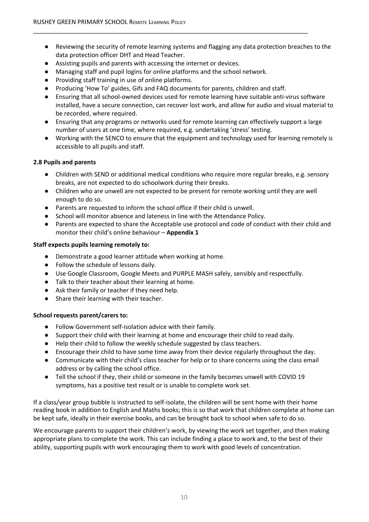- Reviewing the security of remote learning systems and flagging any data protection breaches to the data protection officer DHT and Head Teacher.
- Assisting pupils and parents with accessing the internet or devices.
- Managing staff and pupil logins for online platforms and the school network.
- Providing staff training in use of online platforms.
- Producing 'How To' guides, Gifs and FAQ documents for parents, children and staff.

\_\_\_\_\_\_\_\_\_\_\_\_\_\_\_\_\_\_\_\_\_\_\_\_\_\_\_\_\_\_\_\_\_\_\_\_\_\_\_\_\_\_\_\_\_\_\_\_\_\_\_\_\_\_\_\_\_\_\_\_\_\_\_\_\_\_\_\_\_\_\_\_\_\_\_\_\_\_\_\_\_

- Ensuring that all school-owned devices used for remote learning have suitable anti-virus software installed, have a secure connection, can recover lost work, and allow for audio and visual material to be recorded, where required.
- Ensuring that any programs or networks used for remote learning can effectively support a large number of users at one time, where required, e.g. undertaking 'stress' testing.
- Working with the SENCO to ensure that the equipment and technology used for learning remotely is accessible to all pupils and staff.

#### **2.8 Pupils and parents**

- Children with SEND or additional medical conditions who require more regular breaks, e.g. sensory breaks, are not expected to do schoolwork during their breaks.
- Children who are unwell are not expected to be present for remote working until they are well enough to do so.
- Parents are requested to inform the school office if their child is unwell.
- School will monitor absence and lateness in line with the Attendance Policy.
- Parents are expected to share the Acceptable use protocol and code of conduct with their child and monitor their child's online behaviour – **Appendix 1**

#### **Staff expects pupils learning remotely to:**

- Demonstrate a good learner attitude when working at home.
- Follow the schedule of lessons daily.
- Use Google Classroom, Google Meets and PURPLE MASH safely, sensibly and respectfully.
- Talk to their teacher about their learning at home.
- Ask their family or teacher if they need help.
- Share their learning with their teacher.

#### **School requests parent/carers to:**

- Follow Government self-isolation advice with their family.
- Support their child with their learning at home and encourage their child to read daily.
- Help their child to follow the weekly schedule suggested by class teachers.
- Encourage their child to have some time away from their device regularly throughout the day.
- Communicate with their child's class teacher for help or to share concerns using the class email address or by calling the school office.
- Tell the school if they, their child or someone in the family becomes unwell with COVID 19 symptoms, has a positive test result or is unable to complete work set.

If a class/year group bubble is instructed to self-isolate, the children will be sent home with their home reading book in addition to English and Maths books; this is so that work that children complete at home can be kept safe, ideally in their exercise books, and can be brought back to school when safe to do so.

We encourage parents to support their children's work, by viewing the work set together, and then making appropriate plans to complete the work. This can include finding a place to work and, to the best of their ability, supporting pupils with work encouraging them to work with good levels of concentration.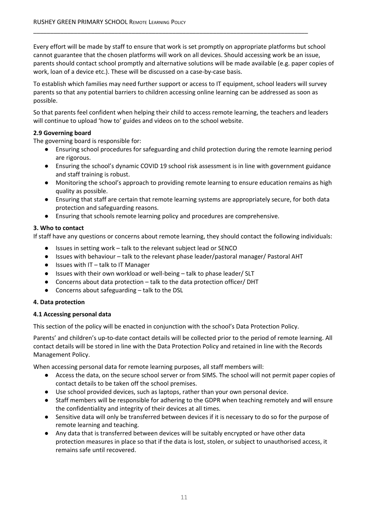Every effort will be made by staff to ensure that work is set promptly on appropriate platforms but school cannot guarantee that the chosen platforms will work on all devices. Should accessing work be an issue, parents should contact school promptly and alternative solutions will be made available (e.g. paper copies of work, loan of a device etc.). These will be discussed on a case-by-case basis.

\_\_\_\_\_\_\_\_\_\_\_\_\_\_\_\_\_\_\_\_\_\_\_\_\_\_\_\_\_\_\_\_\_\_\_\_\_\_\_\_\_\_\_\_\_\_\_\_\_\_\_\_\_\_\_\_\_\_\_\_\_\_\_\_\_\_\_\_\_\_\_\_\_\_\_\_\_\_\_\_\_

To establish which families may need further support or access to IT equipment, school leaders will survey parents so that any potential barriers to children accessing online learning can be addressed as soon as possible.

So that parents feel confident when helping their child to access remote learning, the teachers and leaders will continue to upload 'how to' guides and videos on to the school website.

#### **2.9 Governing board**

The governing board is responsible for:

- Ensuring school procedures for safeguarding and child protection during the remote learning period are rigorous.
- Ensuring the school's dynamic COVID 19 school risk assessment is in line with government guidance and staff training is robust.
- Monitoring the school's approach to providing remote learning to ensure education remains as high quality as possible.
- Ensuring that staff are certain that remote learning systems are appropriately secure, for both data protection and safeguarding reasons.
- Ensuring that schools remote learning policy and procedures are comprehensive.

#### <span id="page-10-0"></span>**3. Who to contact**

If staff have any questions or concerns about remote learning, they should contact the following individuals:

- Issues in setting work talk to the relevant subject lead or SENCO
- Issues with behaviour talk to the relevant phase leader/pastoral manager/ Pastoral AHT
- Issues with IT talk to IT Manager
- Issues with their own workload or well-being talk to phase leader/ SLT
- Concerns about data protection talk to the data protection officer/ DHT
- Concerns about safeguarding talk to the DSL

#### <span id="page-10-1"></span>**4. Data protection**

#### **4.1 Accessing personal data**

This section of the policy will be enacted in conjunction with the school's Data Protection Policy.

Parents' and children's up-to-date contact details will be collected prior to the period of remote learning. All contact details will be stored in line with the Data Protection Policy and retained in line with the Records Management Policy.

When accessing personal data for remote learning purposes, all staff members will:

- Access the data, on the secure school server or from SIMS. The school will not permit paper copies of contact details to be taken off the school premises.
- Use school provided devices, such as laptops, rather than your own personal device.
- Staff members will be responsible for adhering to the GDPR when teaching remotely and will ensure the confidentiality and integrity of their devices at all times.
- Sensitive data will only be transferred between devices if it is necessary to do so for the purpose of remote learning and teaching.
- Any data that is transferred between devices will be suitably encrypted or have other data protection measures in place so that if the data is lost, stolen, or subject to unauthorised access, it remains safe until recovered.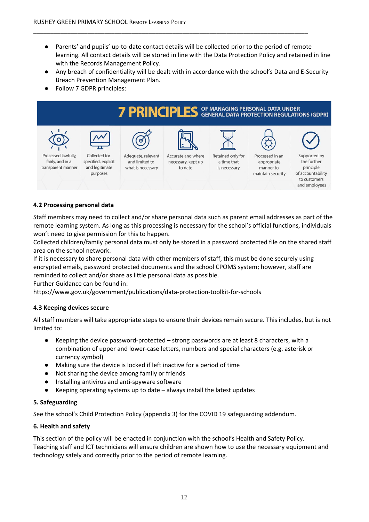● Parents' and pupils' up-to-date contact details will be collected prior to the period of remote learning. All contact details will be stored in line with the Data Protection Policy and retained in line with the Records Management Policy.

\_\_\_\_\_\_\_\_\_\_\_\_\_\_\_\_\_\_\_\_\_\_\_\_\_\_\_\_\_\_\_\_\_\_\_\_\_\_\_\_\_\_\_\_\_\_\_\_\_\_\_\_\_\_\_\_\_\_\_\_\_\_\_\_\_\_\_\_\_\_\_\_\_\_\_\_\_\_\_\_\_

- Any breach of confidentiality will be dealt with in accordance with the school's Data and E-Security Breach Prevention Management Plan.
- Follow 7 GDPR principles:



#### **4.2 Processing personal data**

Staff members may need to collect and/or share personal data such as parent email addresses as part of the remote learning system. As long as this processing is necessary for the school's official functions, individuals won't need to give permission for this to happen.

Collected children/family personal data must only be stored in a password protected file on the shared staff area on the school network.

If it is necessary to share personal data with other members of staff, this must be done securely using encrypted emails, password protected documents and the school CPOMS system; however, staff are reminded to collect and/or share as little personal data as possible.

Further Guidance can be found in:

<https://www.gov.uk/government/publications/data-protection-toolkit-for-schools>

#### **4.3 Keeping devices secure**

All staff members will take appropriate steps to ensure their devices remain secure. This includes, but is not limited to:

- Keeping the device password-protected strong passwords are at least 8 characters, with a combination of upper and lower-case letters, numbers and special characters (e.g. asterisk or currency symbol)
- Making sure the device is locked if left inactive for a period of time
- Not sharing the device among family or friends
- Installing antivirus and anti-spyware software
- Keeping operating systems up to date  $-$  always install the latest updates

#### <span id="page-11-0"></span>**5. Safeguarding**

See the school's Child Protection Policy (appendix 3) for the COVID 19 safeguarding addendum.

#### **6. Health and safety**

This section of the policy will be enacted in conjunction with the school's Health and Safety Policy. Teaching staff and ICT technicians will ensure children are shown how to use the necessary equipment and technology safely and correctly prior to the period of remote learning.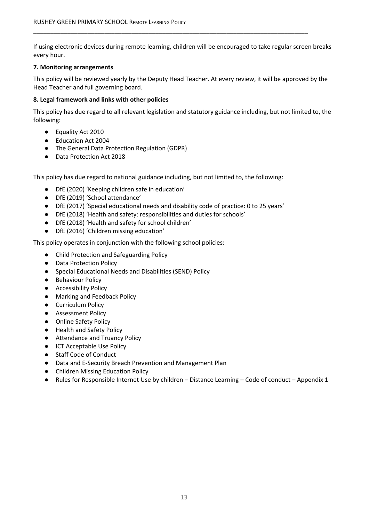If using electronic devices during remote learning, children will be encouraged to take regular screen breaks every hour.

\_\_\_\_\_\_\_\_\_\_\_\_\_\_\_\_\_\_\_\_\_\_\_\_\_\_\_\_\_\_\_\_\_\_\_\_\_\_\_\_\_\_\_\_\_\_\_\_\_\_\_\_\_\_\_\_\_\_\_\_\_\_\_\_\_\_\_\_\_\_\_\_\_\_\_\_\_\_\_\_\_

#### <span id="page-12-0"></span>**7. Monitoring arrangements**

This policy will be reviewed yearly by the Deputy Head Teacher. At every review, it will be approved by the Head Teacher and full governing board.

#### <span id="page-12-1"></span>**8. Legal framework and links with other policies**

This policy has due regard to all relevant legislation and statutory guidance including, but not limited to, the following:

- Equality Act 2010
- Education Act 2004
- The General Data Protection Regulation (GDPR)
- Data Protection Act 2018

This policy has due regard to national guidance including, but not limited to, the following:

- DfE (2020) 'Keeping children safe in education'
- DfE (2019) 'School attendance'
- DfE (2017) 'Special educational needs and disability code of practice: 0 to 25 years'
- DfE (2018) 'Health and safety: responsibilities and duties for schools'
- DfE (2018) 'Health and safety for school children'
- DfE (2016) 'Children missing education'

This policy operates in conjunction with the following school policies:

- Child Protection and Safeguarding Policy
- Data Protection Policy
- Special Educational Needs and Disabilities (SEND) Policy
- Behaviour Policy
- Accessibility Policy
- Marking and Feedback Policy
- Curriculum Policy
- Assessment Policy
- Online Safety Policy
- Health and Safety Policy
- Attendance and Truancy Policy
- ICT Acceptable Use Policy
- Staff Code of Conduct
- Data and E-Security Breach Prevention and Management Plan
- Children Missing Education Policy
- Rules for Responsible Internet Use by children Distance Learning Code of conduct Appendix 1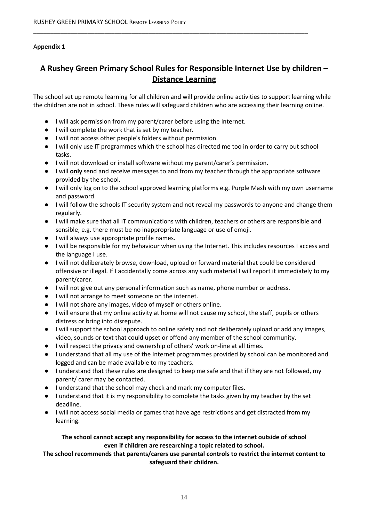#### A**ppendix 1**

### **A Rushey Green Primary School Rules for Responsible Internet Use by children – Distance Learning**

\_\_\_\_\_\_\_\_\_\_\_\_\_\_\_\_\_\_\_\_\_\_\_\_\_\_\_\_\_\_\_\_\_\_\_\_\_\_\_\_\_\_\_\_\_\_\_\_\_\_\_\_\_\_\_\_\_\_\_\_\_\_\_\_\_\_\_\_\_\_\_\_\_\_\_\_\_\_\_\_\_

The school set up remote learning for all children and will provide online activities to support learning while the children are not in school. These rules will safeguard children who are accessing their learning online.

- I will ask permission from my parent/carer before using the Internet.
- I will complete the work that is set by my teacher.
- I will not access other people's folders without permission.
- I will only use IT programmes which the school has directed me too in order to carry out school tasks.
- I will not download or install software without my parent/carer's permission.
- I will **only** send and receive messages to and from my teacher through the appropriate software provided by the school.
- I will only log on to the school approved learning platforms e.g. Purple Mash with my own username and password.
- I will follow the schools IT security system and not reveal my passwords to anyone and change them regularly.
- I will make sure that all IT communications with children, teachers or others are responsible and sensible; e.g. there must be no inappropriate language or use of emoji.
- I will always use appropriate profile names.
- I will be responsible for my behaviour when using the Internet. This includes resources I access and the language I use.
- I will not deliberately browse, download, upload or forward material that could be considered offensive or illegal. If I accidentally come across any such material I will report it immediately to my parent/carer.
- I will not give out any personal information such as name, phone number or address.
- I will not arrange to meet someone on the internet.
- I will not share any images, video of myself or others online.
- I will ensure that my online activity at home will not cause my school, the staff, pupils or others distress or bring into disrepute.
- I will support the school approach to online safety and not deliberately upload or add any images, video, sounds or text that could upset or offend any member of the school community.
- I will respect the privacy and ownership of others' work on-line at all times.
- I understand that all my use of the Internet programmes provided by school can be monitored and logged and can be made available to my teachers.
- I understand that these rules are designed to keep me safe and that if they are not followed, my parent/ carer may be contacted.
- I understand that the school may check and mark my computer files.
- I understand that it is my responsibility to complete the tasks given by my teacher by the set deadline.
- I will not access social media or games that have age restrictions and get distracted from my learning.

#### **The school cannot accept any responsibility for access to the internet outside of school even if children are researching a topic related to school.**

**The school recommends that parents/carers use parental controls to restrict the internet content to safeguard their children.**